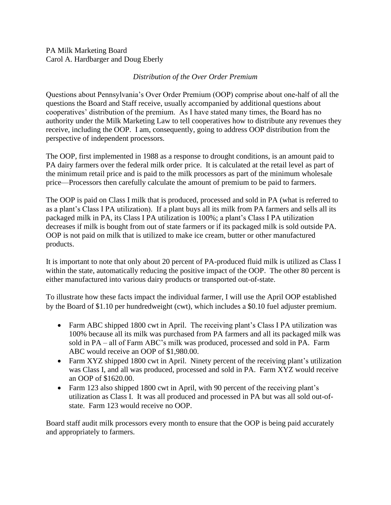## PA Milk Marketing Board Carol A. Hardbarger and Doug Eberly

## *Distribution of the Over Order Premium*

Questions about Pennsylvania's Over Order Premium (OOP) comprise about one-half of all the questions the Board and Staff receive, usually accompanied by additional questions about cooperatives' distribution of the premium. As I have stated many times, the Board has no authority under the Milk Marketing Law to tell cooperatives how to distribute any revenues they receive, including the OOP. I am, consequently, going to address OOP distribution from the perspective of independent processors.

The OOP, first implemented in 1988 as a response to drought conditions, is an amount paid to PA dairy farmers over the federal milk order price. It is calculated at the retail level as part of the minimum retail price and is paid to the milk processors as part of the minimum wholesale price—Processors then carefully calculate the amount of premium to be paid to farmers.

The OOP is paid on Class I milk that is produced, processed and sold in PA (what is referred to as a plant's Class I PA utilization). If a plant buys all its milk from PA farmers and sells all its packaged milk in PA, its Class I PA utilization is 100%; a plant's Class I PA utilization decreases if milk is bought from out of state farmers or if its packaged milk is sold outside PA. OOP is not paid on milk that is utilized to make ice cream, butter or other manufactured products.

It is important to note that only about 20 percent of PA-produced fluid milk is utilized as Class I within the state, automatically reducing the positive impact of the OOP. The other 80 percent is either manufactured into various dairy products or transported out-of-state.

To illustrate how these facts impact the individual farmer, I will use the April OOP established by the Board of \$1.10 per hundredweight (cwt), which includes a \$0.10 fuel adjuster premium.

- Farm ABC shipped 1800 cwt in April. The receiving plant's Class I PA utilization was 100% because all its milk was purchased from PA farmers and all its packaged milk was sold in PA – all of Farm ABC's milk was produced, processed and sold in PA. Farm ABC would receive an OOP of \$1,980.00.
- Farm XYZ shipped 1800 cwt in April. Ninety percent of the receiving plant's utilization was Class I, and all was produced, processed and sold in PA. Farm XYZ would receive an OOP of \$1620.00.
- Farm 123 also shipped 1800 cwt in April, with 90 percent of the receiving plant's utilization as Class I. It was all produced and processed in PA but was all sold out-ofstate. Farm 123 would receive no OOP.

Board staff audit milk processors every month to ensure that the OOP is being paid accurately and appropriately to farmers.